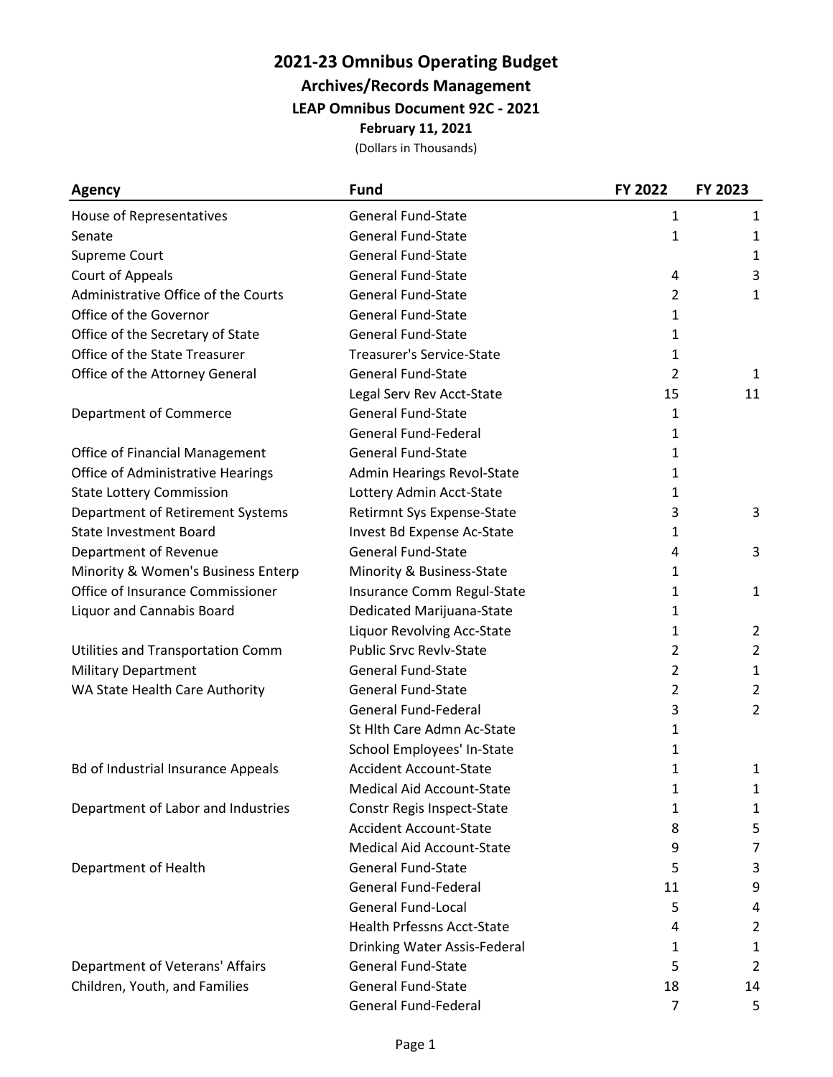## **2021-23 Omnibus Operating Budget**

**Archives/Records Management**

**LEAP Omnibus Document 92C - 2021**

**February 11, 2021**

(Dollars in Thousands)

| Agency                                    | <b>Fund</b>                       | FY 2022        | FY 2023        |
|-------------------------------------------|-----------------------------------|----------------|----------------|
| House of Representatives                  | <b>General Fund-State</b>         | $\mathbf{1}$   | 1              |
| Senate                                    | <b>General Fund-State</b>         | 1              | 1              |
| Supreme Court                             | <b>General Fund-State</b>         |                | 1              |
| Court of Appeals                          | <b>General Fund-State</b>         | 4              | 3              |
| Administrative Office of the Courts       | General Fund-State                | $\overline{2}$ | 1              |
| Office of the Governor                    | <b>General Fund-State</b>         | 1              |                |
| Office of the Secretary of State          | <b>General Fund-State</b>         | 1              |                |
| Office of the State Treasurer             | <b>Treasurer's Service-State</b>  | 1              |                |
| Office of the Attorney General            | <b>General Fund-State</b>         | $\overline{2}$ | 1              |
|                                           | Legal Serv Rev Acct-State         | 15             | 11             |
| Department of Commerce                    | <b>General Fund-State</b>         | 1              |                |
|                                           | <b>General Fund-Federal</b>       | 1              |                |
| <b>Office of Financial Management</b>     | <b>General Fund-State</b>         | 1              |                |
| Office of Administrative Hearings         | Admin Hearings Revol-State        | 1              |                |
| <b>State Lottery Commission</b>           | Lottery Admin Acct-State          | 1              |                |
| Department of Retirement Systems          | Retirmnt Sys Expense-State        | 3              | 3              |
| <b>State Investment Board</b>             | Invest Bd Expense Ac-State        | 1              |                |
| Department of Revenue                     | <b>General Fund-State</b>         | 4              | 3              |
| Minority & Women's Business Enterp        | Minority & Business-State         | 1              |                |
| Office of Insurance Commissioner          | Insurance Comm Regul-State        | 1              | 1              |
| Liquor and Cannabis Board                 | Dedicated Marijuana-State         | 1              |                |
|                                           | Liquor Revolving Acc-State        | 1              | $\overline{2}$ |
| Utilities and Transportation Comm         | <b>Public Srvc Revlv-State</b>    | $\overline{2}$ | $\overline{2}$ |
| <b>Military Department</b>                | <b>General Fund-State</b>         | 2              | 1              |
| WA State Health Care Authority            | <b>General Fund-State</b>         | 2              | 2              |
|                                           | <b>General Fund-Federal</b>       | 3              | 2              |
|                                           | St Hlth Care Admn Ac-State        | 1              |                |
|                                           | School Employees' In-State        | 1              |                |
| <b>Bd of Industrial Insurance Appeals</b> | <b>Accident Account-State</b>     | 1              | 1              |
|                                           | <b>Medical Aid Account-State</b>  | 1              | 1              |
| Department of Labor and Industries        | Constr Regis Inspect-State        | 1              | 1              |
|                                           | <b>Accident Account-State</b>     | 8              | 5              |
|                                           | <b>Medical Aid Account-State</b>  | 9              | $\overline{7}$ |
| Department of Health                      | <b>General Fund-State</b>         | 5              | 3              |
|                                           | <b>General Fund-Federal</b>       | 11             | 9              |
|                                           | <b>General Fund-Local</b>         | 5              | 4              |
|                                           | <b>Health Prfessns Acct-State</b> | 4              | $\overline{2}$ |
|                                           | Drinking Water Assis-Federal      | 1              | $\mathbf{1}$   |
| Department of Veterans' Affairs           | <b>General Fund-State</b>         | 5              | 2              |
| Children, Youth, and Families             | <b>General Fund-State</b>         | 18             | 14             |
|                                           | General Fund-Federal              | 7              | 5              |